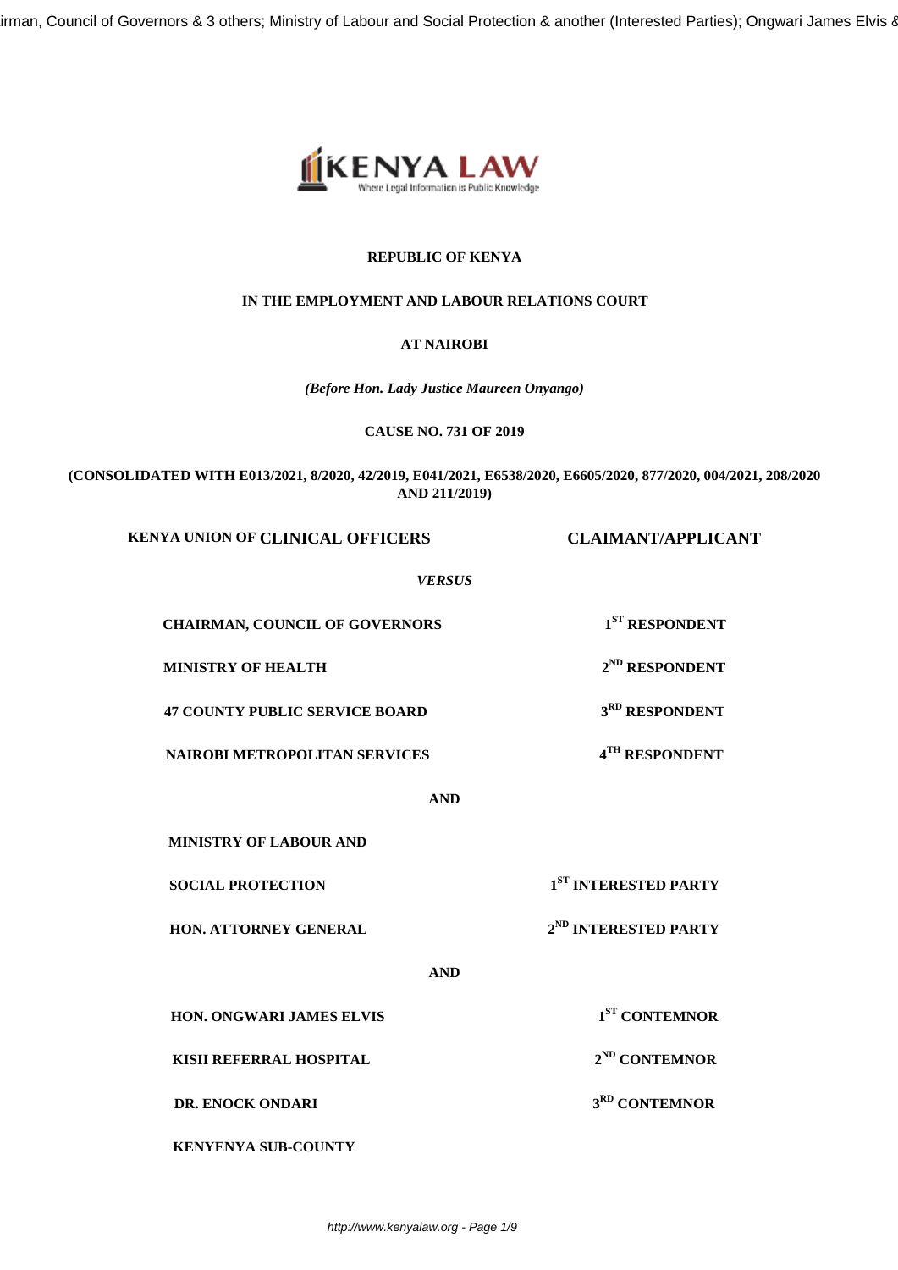irman, Council of Governors & 3 others; Ministry of Labour and Social Protection & another (Interested Parties); Ongwari James Elvis &



# **REPUBLIC OF KENYA**

## **IN THE EMPLOYMENT AND LABOUR RELATIONS COURT**

## **AT NAIROBI**

*(Before Hon. Lady Justice Maureen Onyango)*

**CAUSE NO. 731 OF 2019**

**(CONSOLIDATED WITH E013/2021, 8/2020, 42/2019, E041/2021, E6538/2020, E6605/2020, 877/2020, 004/2021, 208/2020 AND 211/2019)**

**KENYA UNION OF CLINICAL OFFICERS CLAIMANT/APPLICANT**

*VERSUS*

**CHAIRMAN, COUNCIL OF GOVERNORS 1ST RESPONDENT**

**MINISTRY OF HEALTH 2<sup>ND</sup> RESPONDENT** 

**47 COUNTY PUBLIC SERVICE BOARD 3RD RESPONDENT**

**NAIROBI METROPOLITAN SERVICES 4**

**AND**

**MINISTRY OF LABOUR AND**

**HON. ATTORNEY GENERAL 2<sup>ND</sup> INTERESTED PARTY** 

**SOCIAL PROTECTION 1ST INTERESTED PARTY**

**TH RESPONDENT**

**ST CONTEMNOR**

**AND**

**HON. ONGWARI JAMES ELVIS** 

**KISII REFERRAL HOSPITAL** 2<sup>ND</sup> CONTEMNOR

**DR. ENOCK ONDARI** 3<sup>RD</sup> CONTEMNOR

**KENYENYA SUB-COUNTY**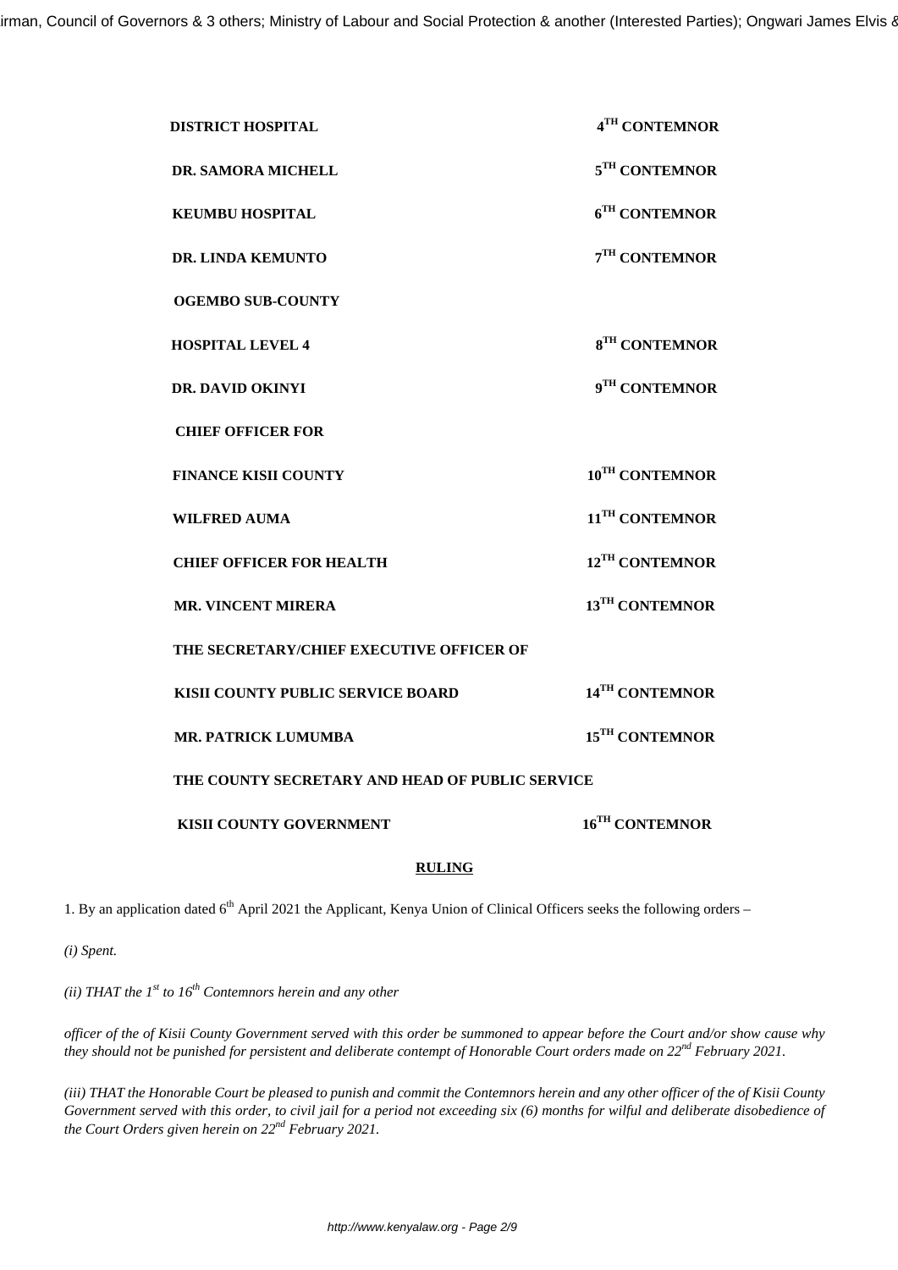| <b>DISTRICT HOSPITAL</b>                        | 4TH CONTEMNOR              |
|-------------------------------------------------|----------------------------|
| <b>DR. SAMORA MICHELL</b>                       | $5TH$ CONTEMNOR            |
| <b>KEUMBU HOSPITAL</b>                          | 6 <sup>TH</sup> CONTEMNOR  |
| DR. LINDA KEMUNTO                               | 7TH CONTEMNOR              |
| <b>OGEMBO SUB-COUNTY</b>                        |                            |
| <b>HOSPITAL LEVEL 4</b>                         | 8 <sup>TH</sup> CONTEMNOR  |
| DR. DAVID OKINYI                                | 9TH CONTEMNOR              |
| <b>CHIEF OFFICER FOR</b>                        |                            |
| <b>FINANCE KISII COUNTY</b>                     | 10 <sup>TH</sup> CONTEMNOR |
| <b>WILFRED AUMA</b>                             | 11 <sup>TH</sup> CONTEMNOR |
| <b>CHIEF OFFICER FOR HEALTH</b>                 | 12 <sup>TH</sup> CONTEMNOR |
| <b>MR. VINCENT MIRERA</b>                       | 13 <sup>TH</sup> CONTEMNOR |
| THE SECRETARY/CHIEF EXECUTIVE OFFICER OF        |                            |
| KISII COUNTY PUBLIC SERVICE BOARD               | 14 <sup>TH</sup> CONTEMNOR |
| <b>MR. PATRICK LUMUMBA</b>                      | 15 <sup>TH</sup> CONTEMNOR |
| THE COUNTY SECRETARY AND HEAD OF PUBLIC SERVICE |                            |
| <b>KISII COUNTY GOVERNMENT</b>                  | 16 <sup>TH</sup> CONTEMNOR |

## **RULING**

1. By an application dated 6<sup>th</sup> April 2021 the Applicant, Kenya Union of Clinical Officers seeks the following orders –

*(i) Spent.*

*(ii) THAT the 1st to 16th Contemnors herein and any other* 

*officer of the of Kisii County Government served with this order be summoned to appear before the Court and/or show cause why they should not be punished for persistent and deliberate contempt of Honorable Court orders made on 22nd February 2021.*

*(iii) THAT the Honorable Court be pleased to punish and commit the Contemnors herein and any other officer of the of Kisii County Government served with this order, to civil jail for a period not exceeding six (6) months for wilful and deliberate disobedience of the Court Orders given herein on 22nd February 2021.*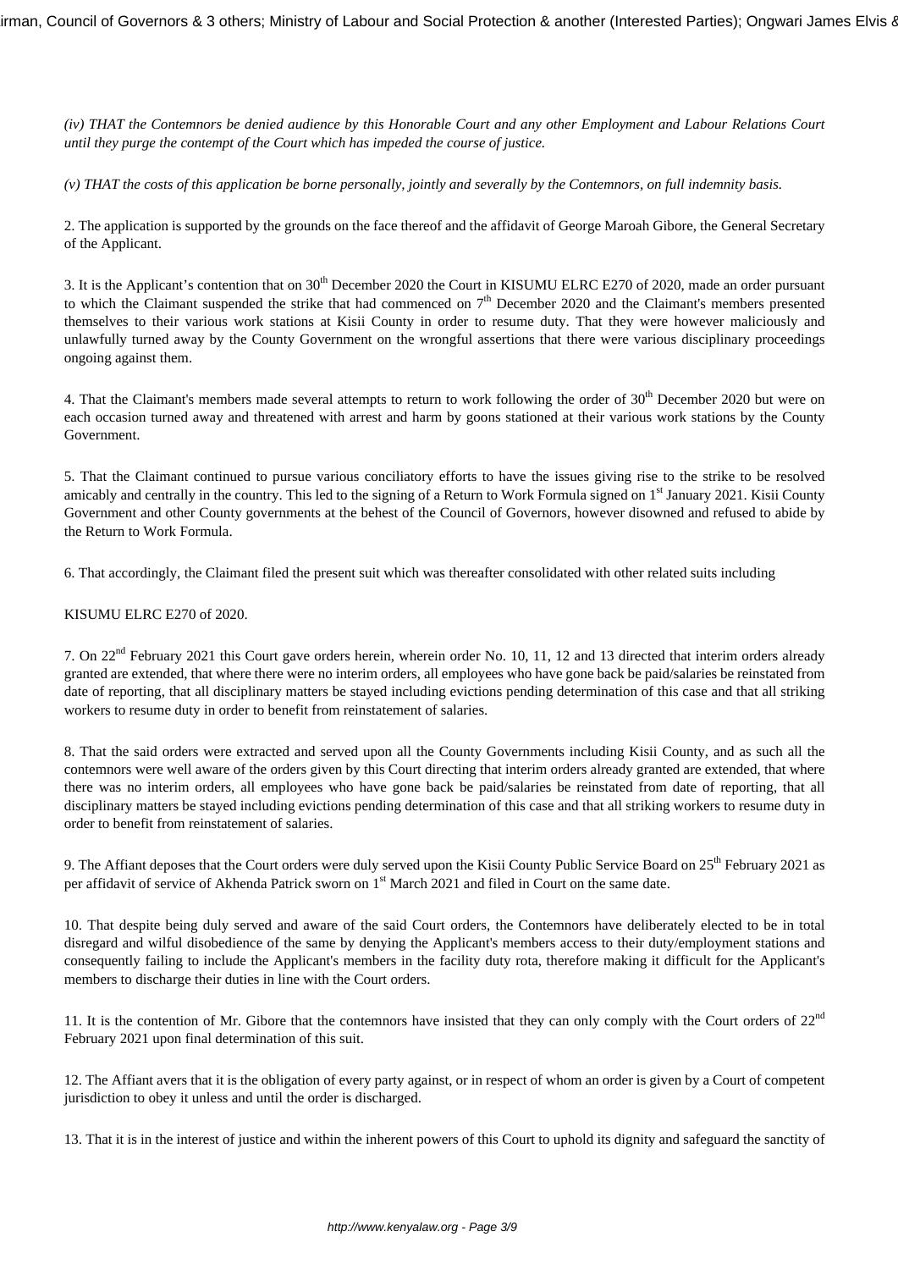*(iv) THAT the Contemnors be denied audience by this Honorable Court and any other Employment and Labour Relations Court until they purge the contempt of the Court which has impeded the course of justice.*

*(v) THAT the costs of this application be borne personally, jointly and severally by the Contemnors, on full indemnity basis.*

2. The application is supported by the grounds on the face thereof and the affidavit of George Maroah Gibore, the General Secretary of the Applicant.

3. It is the Applicant's contention that on 30<sup>th</sup> December 2020 the Court in KISUMU ELRC E270 of 2020, made an order pursuant to which the Claimant suspended the strike that had commenced on  $7<sup>th</sup>$  December 2020 and the Claimant's members presented themselves to their various work stations at Kisii County in order to resume duty. That they were however maliciously and unlawfully turned away by the County Government on the wrongful assertions that there were various disciplinary proceedings ongoing against them.

4. That the Claimant's members made several attempts to return to work following the order of 30<sup>th</sup> December 2020 but were on each occasion turned away and threatened with arrest and harm by goons stationed at their various work stations by the County Government.

5. That the Claimant continued to pursue various conciliatory efforts to have the issues giving rise to the strike to be resolved amicably and centrally in the country. This led to the signing of a Return to Work Formula signed on  $1<sup>st</sup>$  January 2021. Kisii County Government and other County governments at the behest of the Council of Governors, however disowned and refused to abide by the Return to Work Formula.

6. That accordingly, the Claimant filed the present suit which was thereafter consolidated with other related suits including

### KISUMU ELRC E270 of 2020.

7. On 22nd February 2021 this Court gave orders herein, wherein order No. 10, 11, 12 and 13 directed that interim orders already granted are extended, that where there were no interim orders, all employees who have gone back be paid/salaries be reinstated from date of reporting, that all disciplinary matters be stayed including evictions pending determination of this case and that all striking workers to resume duty in order to benefit from reinstatement of salaries.

8. That the said orders were extracted and served upon all the County Governments including Kisii County, and as such all the contemnors were well aware of the orders given by this Court directing that interim orders already granted are extended, that where there was no interim orders, all employees who have gone back be paid/salaries be reinstated from date of reporting, that all disciplinary matters be stayed including evictions pending determination of this case and that all striking workers to resume duty in order to benefit from reinstatement of salaries.

9. The Affiant deposes that the Court orders were duly served upon the Kisii County Public Service Board on 25<sup>th</sup> February 2021 as per affidavit of service of Akhenda Patrick sworn on 1<sup>st</sup> March 2021 and filed in Court on the same date.

10. That despite being duly served and aware of the said Court orders, the Contemnors have deliberately elected to be in total disregard and wilful disobedience of the same by denying the Applicant's members access to their duty/employment stations and consequently failing to include the Applicant's members in the facility duty rota, therefore making it difficult for the Applicant's members to discharge their duties in line with the Court orders.

11. It is the contention of Mr. Gibore that the contemnors have insisted that they can only comply with the Court orders of  $22<sup>nd</sup>$ February 2021 upon final determination of this suit.

12. The Affiant avers that it is the obligation of every party against, or in respect of whom an order is given by a Court of competent jurisdiction to obey it unless and until the order is discharged.

13. That it is in the interest of justice and within the inherent powers of this Court to uphold its dignity and safeguard the sanctity of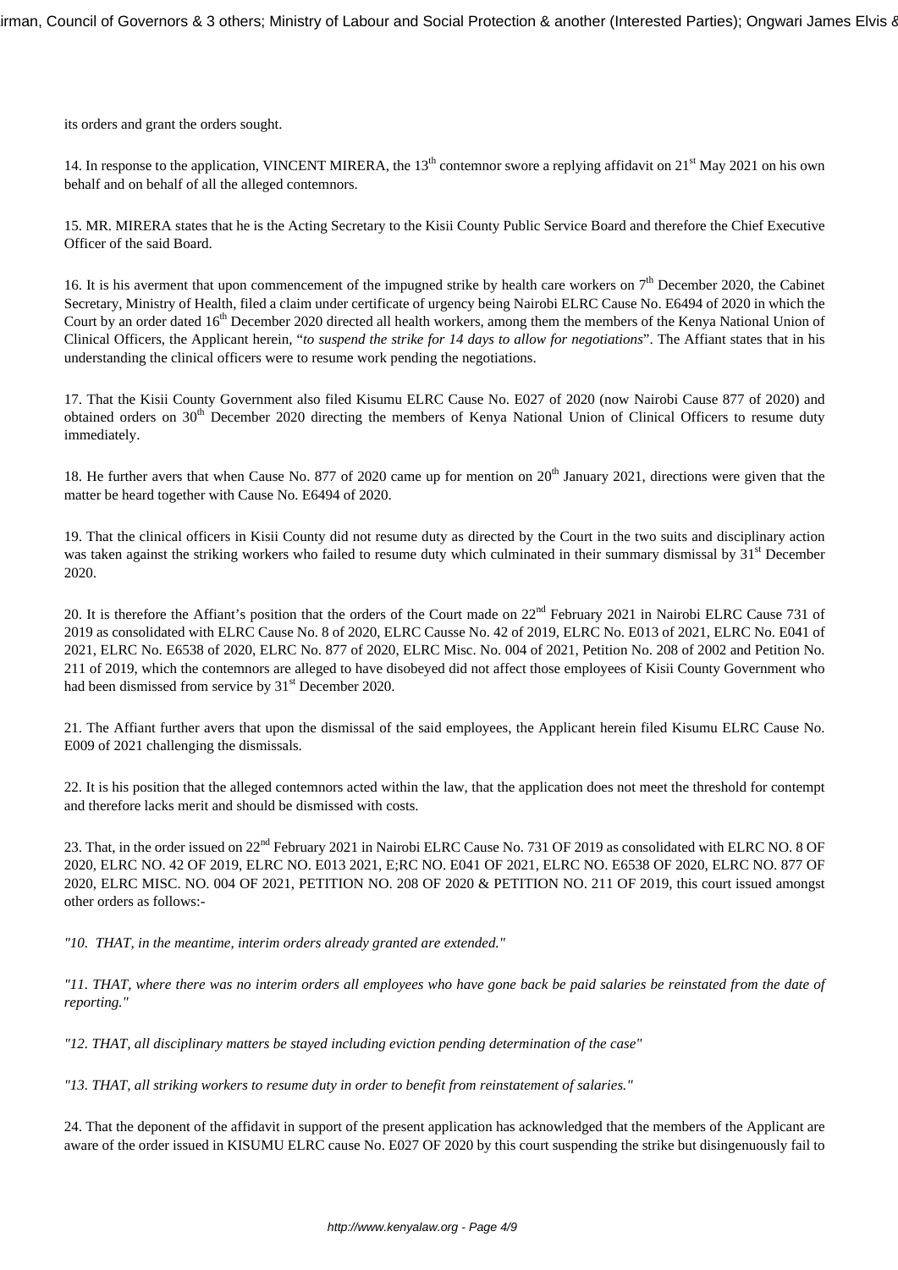its orders and grant the orders sought.

14. In response to the application, VINCENT MIRERA, the 13<sup>th</sup> contemnor swore a replying affidavit on 21<sup>st</sup> May 2021 on his own behalf and on behalf of all the alleged contemnors.

15. MR. MIRERA states that he is the Acting Secretary to the Kisii County Public Service Board and therefore the Chief Executive Officer of the said Board.

16. It is his averment that upon commencement of the impugned strike by health care workers on  $7<sup>th</sup>$  December 2020, the Cabinet Secretary, Ministry of Health, filed a claim under certificate of urgency being Nairobi ELRC Cause No. E6494 of 2020 in which the Court by an order dated 16<sup>th</sup> December 2020 directed all health workers, among them the members of the Kenya National Union of Clinical Officers, the Applicant herein, "*to suspend the strike for 14 days to allow for negotiations*". The Affiant states that in his understanding the clinical officers were to resume work pending the negotiations.

17. That the Kisii County Government also filed Kisumu ELRC Cause No. E027 of 2020 (now Nairobi Cause 877 of 2020) and obtained orders on 30<sup>th</sup> December 2020 directing the members of Kenya National Union of Clinical Officers to resume duty immediately.

18. He further avers that when Cause No. 877 of 2020 came up for mention on 20<sup>th</sup> January 2021, directions were given that the matter be heard together with Cause No. E6494 of 2020.

19. That the clinical officers in Kisii County did not resume duty as directed by the Court in the two suits and disciplinary action was taken against the striking workers who failed to resume duty which culminated in their summary dismissal by 31<sup>st</sup> December 2020.

20. It is therefore the Affiant's position that the orders of the Court made on  $22<sup>nd</sup>$  February 2021 in Nairobi ELRC Cause 731 of 2019 as consolidated with ELRC Cause No. 8 of 2020, ELRC Causse No. 42 of 2019, ELRC No. E013 of 2021, ELRC No. E041 of 2021, ELRC No. E6538 of 2020, ELRC No. 877 of 2020, ELRC Misc. No. 004 of 2021, Petition No. 208 of 2002 and Petition No. 211 of 2019, which the contemnors are alleged to have disobeyed did not affect those employees of Kisii County Government who had been dismissed from service by 31<sup>st</sup> December 2020.

21. The Affiant further avers that upon the dismissal of the said employees, the Applicant herein filed Kisumu ELRC Cause No. E009 of 2021 challenging the dismissals.

22. It is his position that the alleged contemnors acted within the law, that the application does not meet the threshold for contempt and therefore lacks merit and should be dismissed with costs.

23. That, in the order issued on 22<sup>nd</sup> February 2021 in Nairobi ELRC Cause No. 731 OF 2019 as consolidated with ELRC NO. 8 OF 2020, ELRC NO. 42 OF 2019, ELRC NO. E013 2021, E;RC NO. E041 OF 2021, ELRC NO. E6538 OF 2020, ELRC NO. 877 OF 2020, ELRC MISC. NO. 004 OF 2021, PETITION NO. 208 OF 2020 & PETITION NO. 211 OF 2019, this court issued amongst other orders as follows:-

*"10. THAT, in the meantime, interim orders already granted are extended."*

*"11. THAT, where there was no interim orders all employees who have gone back be paid salaries be reinstated from the date of reporting."*

*"12. THAT, all disciplinary matters be stayed including eviction pending determination of the case"*

*"13. THAT, all striking workers to resume duty in order to benefit from reinstatement of salaries."*

24. That the deponent of the affidavit in support of the present application has acknowledged that the members of the Applicant are aware of the order issued in KISUMU ELRC cause No. E027 OF 2020 by this court suspending the strike but disingenuously fail to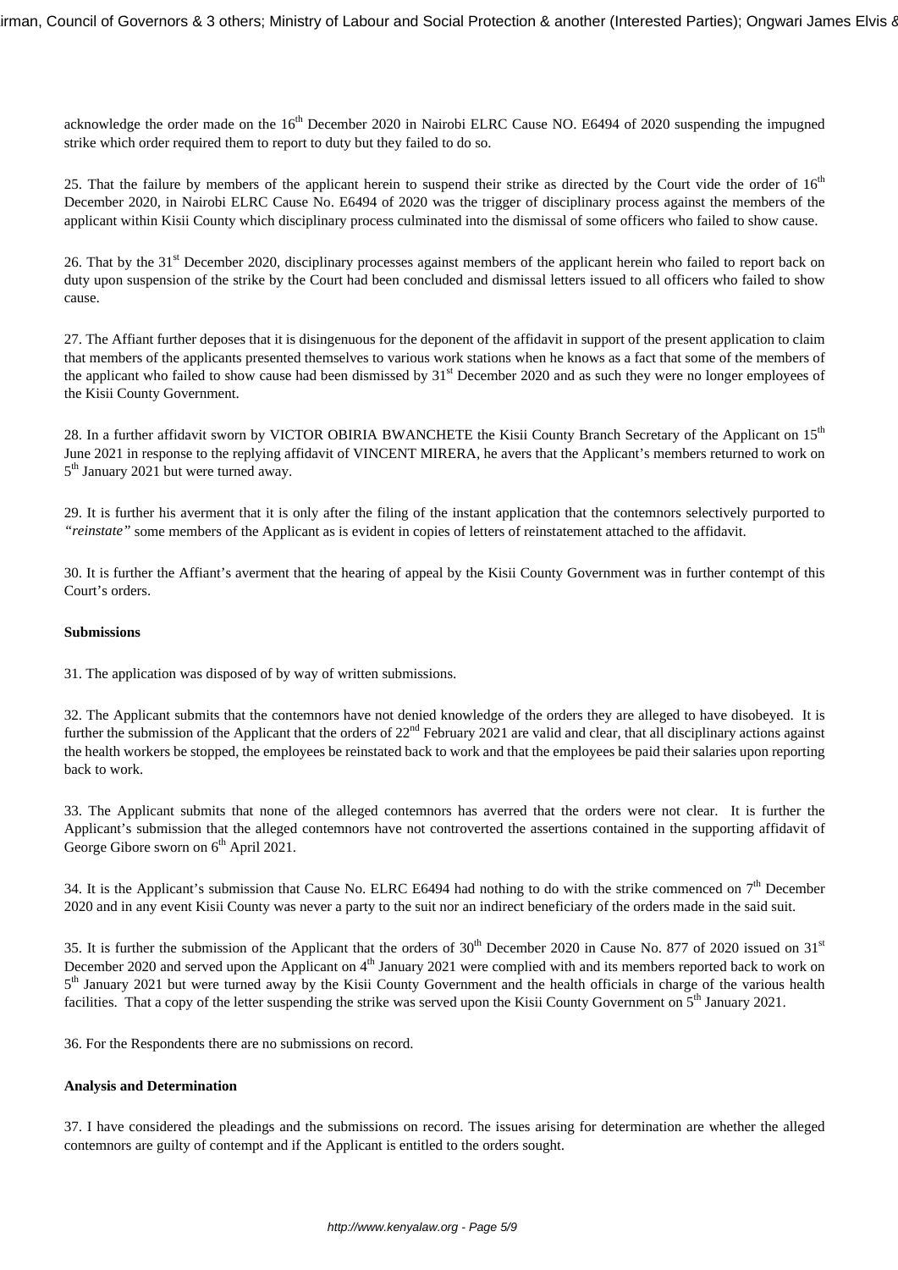acknowledge the order made on the 16<sup>th</sup> December 2020 in Nairobi ELRC Cause NO. E6494 of 2020 suspending the impugned strike which order required them to report to duty but they failed to do so.

25. That the failure by members of the applicant herein to suspend their strike as directed by the Court vide the order of  $16<sup>th</sup>$ December 2020, in Nairobi ELRC Cause No. E6494 of 2020 was the trigger of disciplinary process against the members of the applicant within Kisii County which disciplinary process culminated into the dismissal of some officers who failed to show cause.

26. That by the 31<sup>st</sup> December 2020, disciplinary processes against members of the applicant herein who failed to report back on duty upon suspension of the strike by the Court had been concluded and dismissal letters issued to all officers who failed to show cause.

27. The Affiant further deposes that it is disingenuous for the deponent of the affidavit in support of the present application to claim that members of the applicants presented themselves to various work stations when he knows as a fact that some of the members of the applicant who failed to show cause had been dismissed by  $31<sup>st</sup>$  December 2020 and as such they were no longer employees of the Kisii County Government.

28. In a further affidavit sworn by VICTOR OBIRIA BWANCHETE the Kisii County Branch Secretary of the Applicant on 15<sup>th</sup> June 2021 in response to the replying affidavit of VINCENT MIRERA, he avers that the Applicant's members returned to work on 5<sup>th</sup> January 2021 but were turned away.

29. It is further his averment that it is only after the filing of the instant application that the contemnors selectively purported to *"reinstate"* some members of the Applicant as is evident in copies of letters of reinstatement attached to the affidavit.

30. It is further the Affiant's averment that the hearing of appeal by the Kisii County Government was in further contempt of this Court's orders.

### **Submissions**

31. The application was disposed of by way of written submissions.

32. The Applicant submits that the contemnors have not denied knowledge of the orders they are alleged to have disobeyed. It is further the submission of the Applicant that the orders of  $22<sup>nd</sup>$  February 2021 are valid and clear, that all disciplinary actions against the health workers be stopped, the employees be reinstated back to work and that the employees be paid their salaries upon reporting back to work.

33. The Applicant submits that none of the alleged contemnors has averred that the orders were not clear. It is further the Applicant's submission that the alleged contemnors have not controverted the assertions contained in the supporting affidavit of George Gibore sworn on  $6<sup>th</sup>$  April 2021.

34. It is the Applicant's submission that Cause No. ELRC E6494 had nothing to do with the strike commenced on  $7<sup>th</sup>$  December 2020 and in any event Kisii County was never a party to the suit nor an indirect beneficiary of the orders made in the said suit.

35. It is further the submission of the Applicant that the orders of  $30<sup>th</sup>$  December 2020 in Cause No. 877 of 2020 issued on 31<sup>st</sup> December 2020 and served upon the Applicant on  $4<sup>th</sup>$  January 2021 were complied with and its members reported back to work on 5<sup>th</sup> January 2021 but were turned away by the Kisii County Government and the health officials in charge of the various health facilities. That a copy of the letter suspending the strike was served upon the Kisii County Government on  $5<sup>th</sup>$  January 2021.

36. For the Respondents there are no submissions on record.

## **Analysis and Determination**

37. I have considered the pleadings and the submissions on record. The issues arising for determination are whether the alleged contemnors are guilty of contempt and if the Applicant is entitled to the orders sought.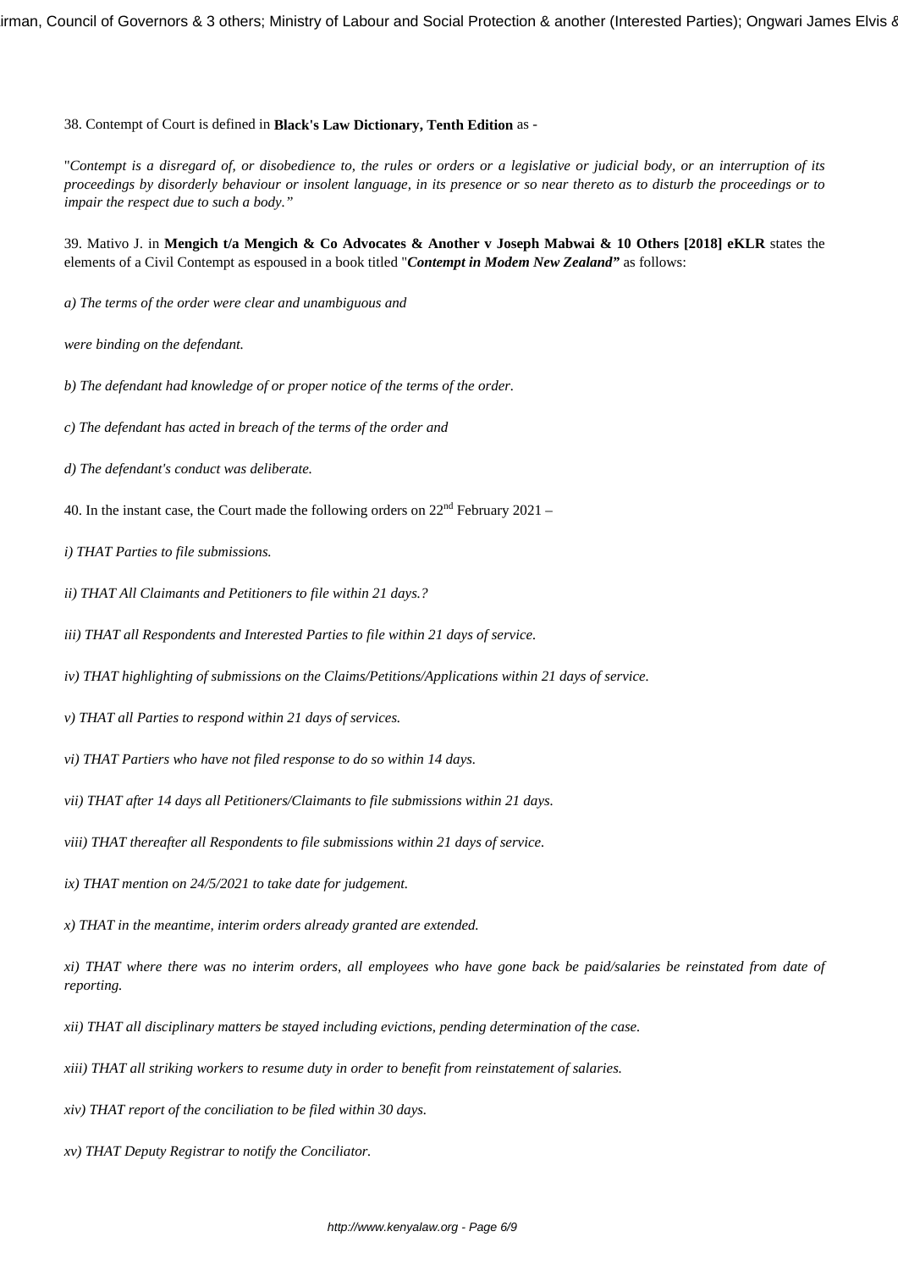38. Contempt of Court is defined in **Black's Law Dictionary, Tenth Edition** as -

"*Contempt is a disregard of, or disobedience to, the rules or orders or a legislative or judicial body, or an interruption of its proceedings by disorderly behaviour or insolent language, in its presence or so near thereto as to disturb the proceedings or to impair the respect due to such a body."*

39. Mativo J. in **Mengich t/a Mengich & Co Advocates & Another v Joseph Mabwai & 10 Others [2018] eKLR** states the elements of a Civil Contempt as espoused in a book titled "*Contempt in Modem New Zealand"* as follows:

*a) The terms of the order were clear and unambiguous and* 

*were binding on the defendant.*

*b) The defendant had knowledge of or proper notice of the terms of the order.*

*c) The defendant has acted in breach of the terms of the order and*

- *d) The defendant's conduct was deliberate.*
- 40. In the instant case, the Court made the following orders on  $22<sup>nd</sup>$  February 2021 –
- *i) THAT Parties to file submissions.*
- *ii) THAT All Claimants and Petitioners to file within 21 days.?*
- *iii) THAT all Respondents and Interested Parties to file within 21 days of service.*
- *iv) THAT highlighting of submissions on the Claims/Petitions/Applications within 21 days of service.*
- *v) THAT all Parties to respond within 21 days of services.*
- *vi) THAT Partiers who have not filed response to do so within 14 days.*
- *vii) THAT after 14 days all Petitioners/Claimants to file submissions within 21 days.*
- *viii) THAT thereafter all Respondents to file submissions within 21 days of service.*
- *ix) THAT mention on 24/5/2021 to take date for judgement.*
- *x) THAT in the meantime, interim orders already granted are extended.*

*xi) THAT where there was no interim orders, all employees who have gone back be paid/salaries be reinstated from date of reporting.*

- *xii) THAT all disciplinary matters be stayed including evictions, pending determination of the case.*
- *xiii) THAT all striking workers to resume duty in order to benefit from reinstatement of salaries.*
- *xiv) THAT report of the conciliation to be filed within 30 days.*
- *xv) THAT Deputy Registrar to notify the Conciliator.*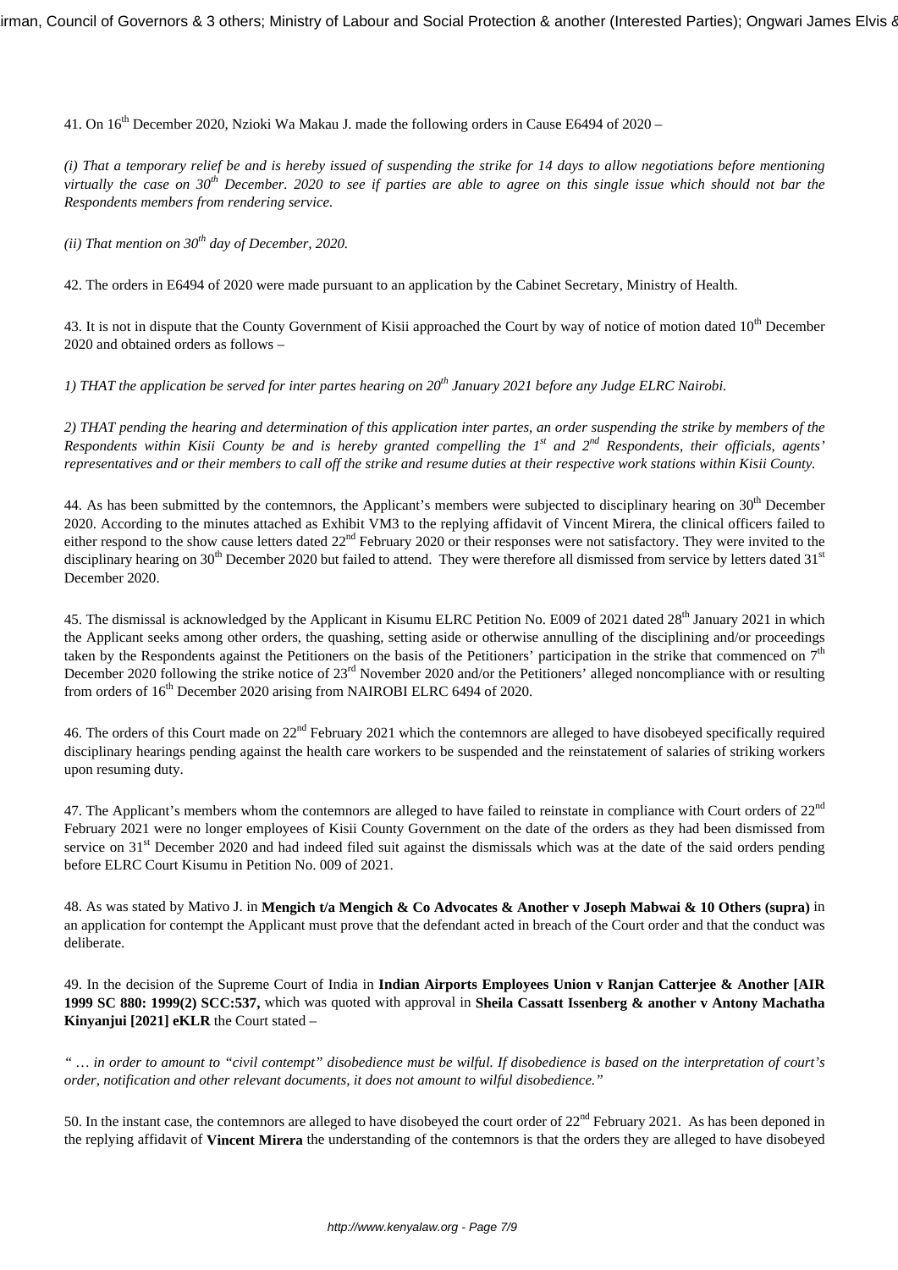41. On 16<sup>th</sup> December 2020, Nzioki Wa Makau J. made the following orders in Cause E6494 of 2020 –

*(i) That a temporary relief be and is hereby issued of suspending the strike for 14 days to allow negotiations before mentioning virtually the case on 30th December. 2020 to see if parties are able to agree on this single issue which should not bar the Respondents members from rendering service.*

*(ii) That mention on 30th day of December, 2020.*

42. The orders in E6494 of 2020 were made pursuant to an application by the Cabinet Secretary, Ministry of Health.

43. It is not in dispute that the County Government of Kisii approached the Court by way of notice of motion dated 10<sup>th</sup> December 2020 and obtained orders as follows –

*1) THAT the application be served for inter partes hearing on 20th January 2021 before any Judge ELRC Nairobi.*

*2) THAT pending the hearing and determination of this application inter partes, an order suspending the strike by members of the Respondents within Kisii County be and is hereby granted compelling the 1st and 2nd Respondents, their officials, agents' representatives and or their members to call off the strike and resume duties at their respective work stations within Kisii County.*

44. As has been submitted by the contemnors, the Applicant's members were subjected to disciplinary hearing on 30<sup>th</sup> December 2020. According to the minutes attached as Exhibit VM3 to the replying affidavit of Vincent Mirera, the clinical officers failed to either respond to the show cause letters dated  $22<sup>nd</sup>$  February 2020 or their responses were not satisfactory. They were invited to the disciplinary hearing on  $30<sup>th</sup>$  December 2020 but failed to attend. They were therefore all dismissed from service by letters dated  $31<sup>st</sup>$ December 2020.

45. The dismissal is acknowledged by the Applicant in Kisumu ELRC Petition No. E009 of 2021 dated 28<sup>th</sup> January 2021 in which the Applicant seeks among other orders, the quashing, setting aside or otherwise annulling of the disciplining and/or proceedings taken by the Respondents against the Petitioners on the basis of the Petitioners' participation in the strike that commenced on  $7<sup>th</sup>$ December 2020 following the strike notice of 23<sup>rd</sup> November 2020 and/or the Petitioners' alleged noncompliance with or resulting from orders of 16<sup>th</sup> December 2020 arising from NAIROBI ELRC 6494 of 2020.

46. The orders of this Court made on 22nd February 2021 which the contemnors are alleged to have disobeyed specifically required disciplinary hearings pending against the health care workers to be suspended and the reinstatement of salaries of striking workers upon resuming duty.

47. The Applicant's members whom the contemnors are alleged to have failed to reinstate in compliance with Court orders of  $22<sup>nd</sup>$ February 2021 were no longer employees of Kisii County Government on the date of the orders as they had been dismissed from service on 31<sup>st</sup> December 2020 and had indeed filed suit against the dismissals which was at the date of the said orders pending before ELRC Court Kisumu in Petition No. 009 of 2021.

48. As was stated by Mativo J. in **Mengich t/a Mengich & Co Advocates & Another v Joseph Mabwai & 10 Others (supra)** in an application for contempt the Applicant must prove that the defendant acted in breach of the Court order and that the conduct was deliberate.

49. In the decision of the Supreme Court of India in **Indian Airports Employees Union v Ranjan Catterjee & Another [AIR 1999 SC 880: 1999(2) SCC:537,** which was quoted with approval in **Sheila Cassatt Issenberg & another v Antony Machatha Kinyanjui [2021] eKLR** the Court stated –

*" … in order to amount to "civil contempt" disobedience must be wilful. If disobedience is based on the interpretation of court's order, notification and other relevant documents, it does not amount to wilful disobedience."*

50. In the instant case, the contemnors are alleged to have disobeyed the court order of 22<sup>nd</sup> February 2021. As has been deponed in the replying affidavit of **Vincent Mirera** the understanding of the contemnors is that the orders they are alleged to have disobeyed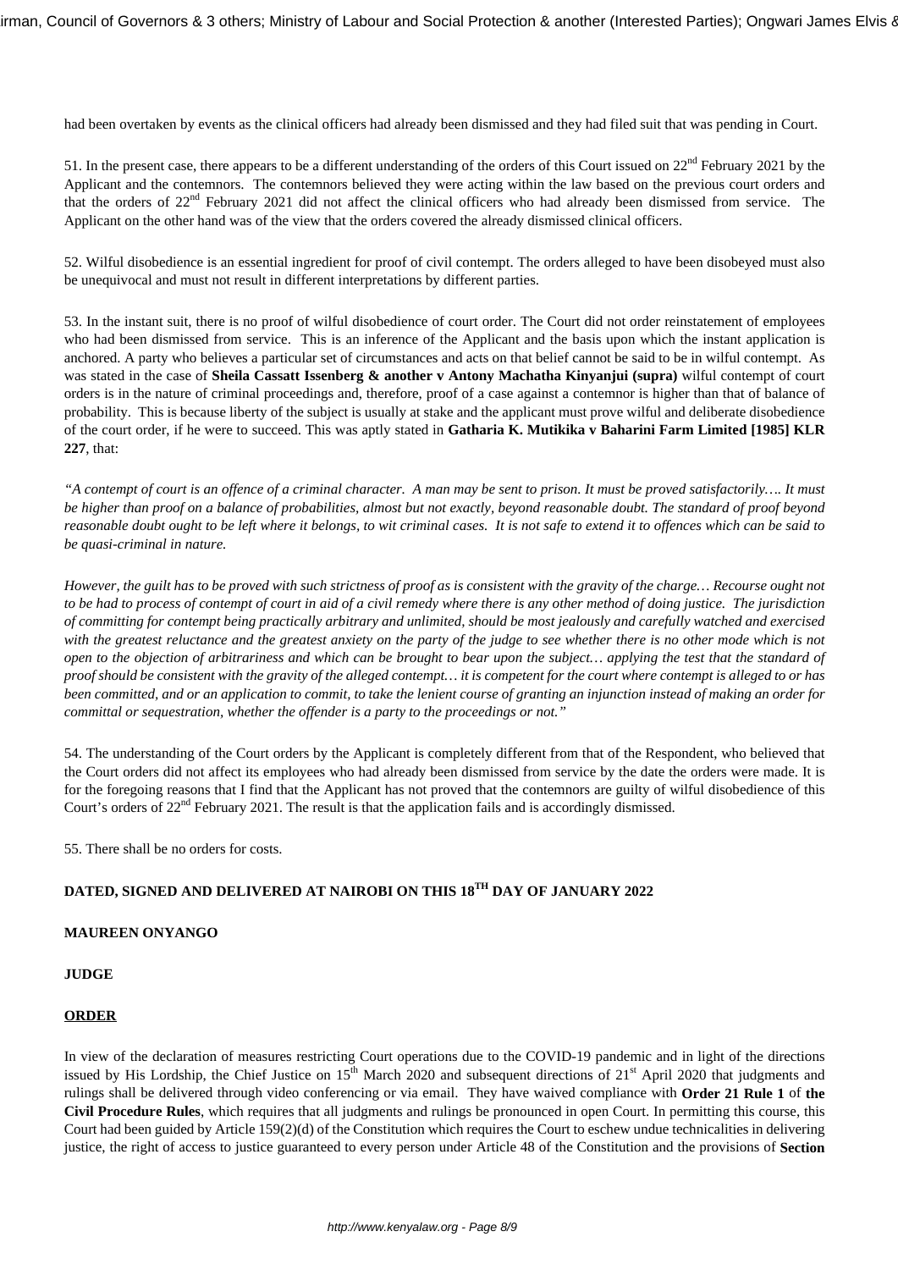had been overtaken by events as the clinical officers had already been dismissed and they had filed suit that was pending in Court.

51. In the present case, there appears to be a different understanding of the orders of this Court issued on 22<sup>nd</sup> February 2021 by the Applicant and the contemnors. The contemnors believed they were acting within the law based on the previous court orders and that the orders of 22<sup>nd</sup> February 2021 did not affect the clinical officers who had already been dismissed from service. The Applicant on the other hand was of the view that the orders covered the already dismissed clinical officers.

52. Wilful disobedience is an essential ingredient for proof of civil contempt. The orders alleged to have been disobeyed must also be unequivocal and must not result in different interpretations by different parties.

53. In the instant suit, there is no proof of wilful disobedience of court order. The Court did not order reinstatement of employees who had been dismissed from service. This is an inference of the Applicant and the basis upon which the instant application is anchored. A party who believes a particular set of circumstances and acts on that belief cannot be said to be in wilful contempt. As was stated in the case of **Sheila Cassatt Issenberg & another v Antony Machatha Kinyanjui (supra)** wilful contempt of court orders is in the nature of criminal proceedings and, therefore, proof of a case against a contemnor is higher than that of balance of probability. This is because liberty of the subject is usually at stake and the applicant must prove wilful and deliberate disobedience of the court order, if he were to succeed. This was aptly stated in **Gatharia K. Mutikika v Baharini Farm Limited [1985] KLR 227**, that:

*"A contempt of court is an offence of a criminal character. A man may be sent to prison. It must be proved satisfactorily…. It must be higher than proof on a balance of probabilities, almost but not exactly, beyond reasonable doubt. The standard of proof beyond reasonable doubt ought to be left where it belongs, to wit criminal cases. It is not safe to extend it to offences which can be said to be quasi-criminal in nature.*

*However, the guilt has to be proved with such strictness of proof as is consistent with the gravity of the charge… Recourse ought not to be had to process of contempt of court in aid of a civil remedy where there is any other method of doing justice. The jurisdiction of committing for contempt being practically arbitrary and unlimited, should be most jealously and carefully watched and exercised with the greatest reluctance and the greatest anxiety on the party of the judge to see whether there is no other mode which is not open to the objection of arbitrariness and which can be brought to bear upon the subject… applying the test that the standard of proof should be consistent with the gravity of the alleged contempt… it is competent for the court where contempt is alleged to or has been committed, and or an application to commit, to take the lenient course of granting an injunction instead of making an order for committal or sequestration, whether the offender is a party to the proceedings or not."*

54. The understanding of the Court orders by the Applicant is completely different from that of the Respondent, who believed that the Court orders did not affect its employees who had already been dismissed from service by the date the orders were made. It is for the foregoing reasons that I find that the Applicant has not proved that the contemnors are guilty of wilful disobedience of this Court's orders of 22nd February 2021. The result is that the application fails and is accordingly dismissed.

55. There shall be no orders for costs.

# **DATED, SIGNED AND DELIVERED AT NAIROBI ON THIS 18TH DAY OF JANUARY 2022**

## **MAUREEN ONYANGO**

#### **JUDGE**

### **ORDER**

In view of the declaration of measures restricting Court operations due to the COVID-19 pandemic and in light of the directions issued by His Lordship, the Chief Justice on  $15<sup>th</sup>$  March 2020 and subsequent directions of  $21<sup>st</sup>$  April 2020 that judgments and rulings shall be delivered through video conferencing or via email. They have waived compliance with **Order 21 Rule 1** of **the Civil Procedure Rules**, which requires that all judgments and rulings be pronounced in open Court. In permitting this course, this Court had been guided by Article 159(2)(d) of the Constitution which requires the Court to eschew undue technicalities in delivering justice, the right of access to justice guaranteed to every person under Article 48 of the Constitution and the provisions of **Section**